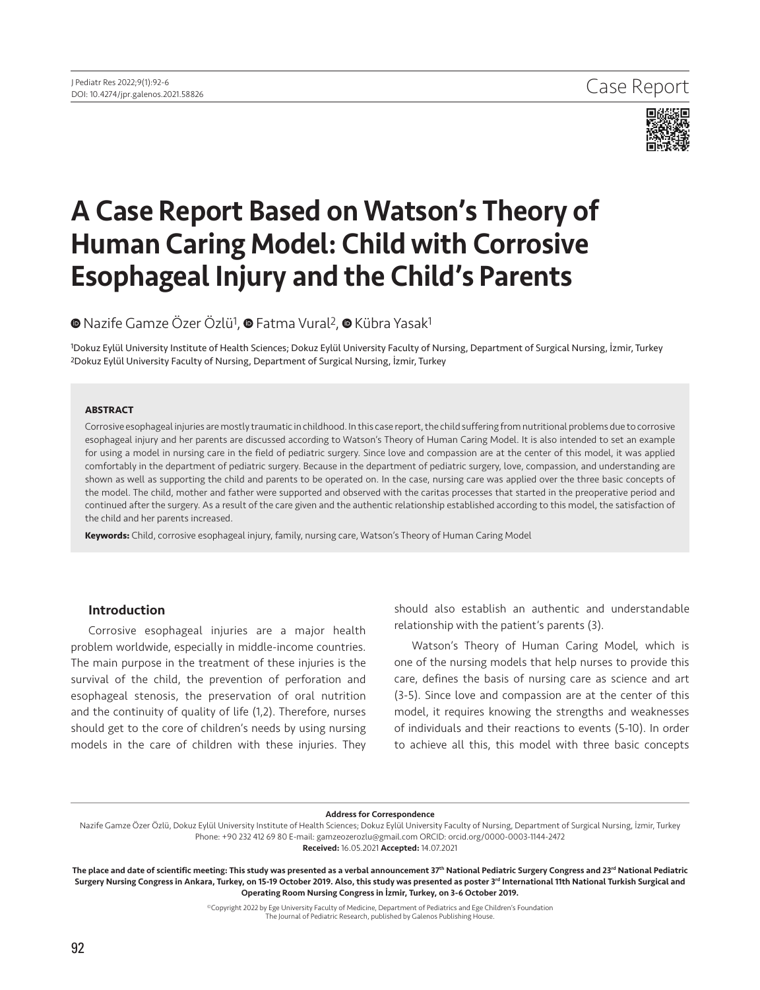

# A Case Report Based on Watson's Theory of Human Caring Model: Child with Corrosive Esophageal Injury and the Child's Parents

## **®**Nazife Gamze Özer Özlü<sup>1</sup>, **®** Fatma Vural<sup>2</sup>, ® Kübra Yasak<sup>1</sup>

1Dokuz Eylül University Institute of Health Sciences; Dokuz Eylül University Faculty of Nursing, Department of Surgical Nursing, İzmir, Turkey 2Dokuz Eylül University Faculty of Nursing, Department of Surgical Nursing, İzmir, Turkey

#### **ABSTRACT**

Corrosive esophageal injuries are mostly traumatic in childhood. In this case report, the child suffering from nutritional problems due to corrosive esophageal injury and her parents are discussed according to Watson's Theory of Human Caring Model. It is also intended to set an example for using a model in nursing care in the field of pediatric surgery. Since love and compassion are at the center of this model, it was applied comfortably in the department of pediatric surgery. Because in the department of pediatric surgery, love, compassion, and understanding are shown as well as supporting the child and parents to be operated on. In the case, nursing care was applied over the three basic concepts of the model. The child, mother and father were supported and observed with the caritas processes that started in the preoperative period and continued after the surgery. As a result of the care given and the authentic relationship established according to this model, the satisfaction of the child and her parents increased.

**Keywords:** Child, corrosive esophageal injury, family, nursing care, Watson's Theory of Human Caring Model

## Introduction

Corrosive esophageal injuries are a major health problem worldwide, especially in middle-income countries. The main purpose in the treatment of these injuries is the survival of the child, the prevention of perforation and esophageal stenosis, the preservation of oral nutrition and the continuity of quality of life (1,2). Therefore, nurses should get to the core of children's needs by using nursing models in the care of children with these injuries. They should also establish an authentic and understandable relationship with the patient's parents (3).

Watson's Theory of Human Caring Model*,* which is one of the nursing models that help nurses to provide this care, defines the basis of nursing care as science and art (3-5). Since love and compassion are at the center of this model, it requires knowing the strengths and weaknesses of individuals and their reactions to events (5-10). In order to achieve all this, this model with three basic concepts

#### Address for Correspondence

Nazife Gamze Özer Özlü, Dokuz Eylül University Institute of Health Sciences; Dokuz Eylül University Faculty of Nursing, Department of Surgical Nursing, İzmir, Turkey Phone: +90 232 412 69 80 E-mail: gamzeozerozlu@gmail.com ORCID: orcid.org/0000-0003-1144-2472

Received: 16.05.2021 Accepted: 14.07.2021

The place and date of scientific meeting: This study was presented as a verbal announcement 37<sup>th</sup> National Pediatric Surgery Congress and 23<sup>rd</sup> National Pediatric Surgery Nursing Congress in Ankara, Turkey, on 15-19 October 2019. Also, this study was presented as poster 3<sup>rd</sup> International 11th National Turkish Surgical and Operating Room Nursing Congress in İzmir, Turkey, on 3-6 October 2019.

> ©Copyright 2022 by Ege University Faculty of Medicine, Department of Pediatrics and Ege Children's Foundation The Journal of Pediatric Research, published by Galenos Publishing House.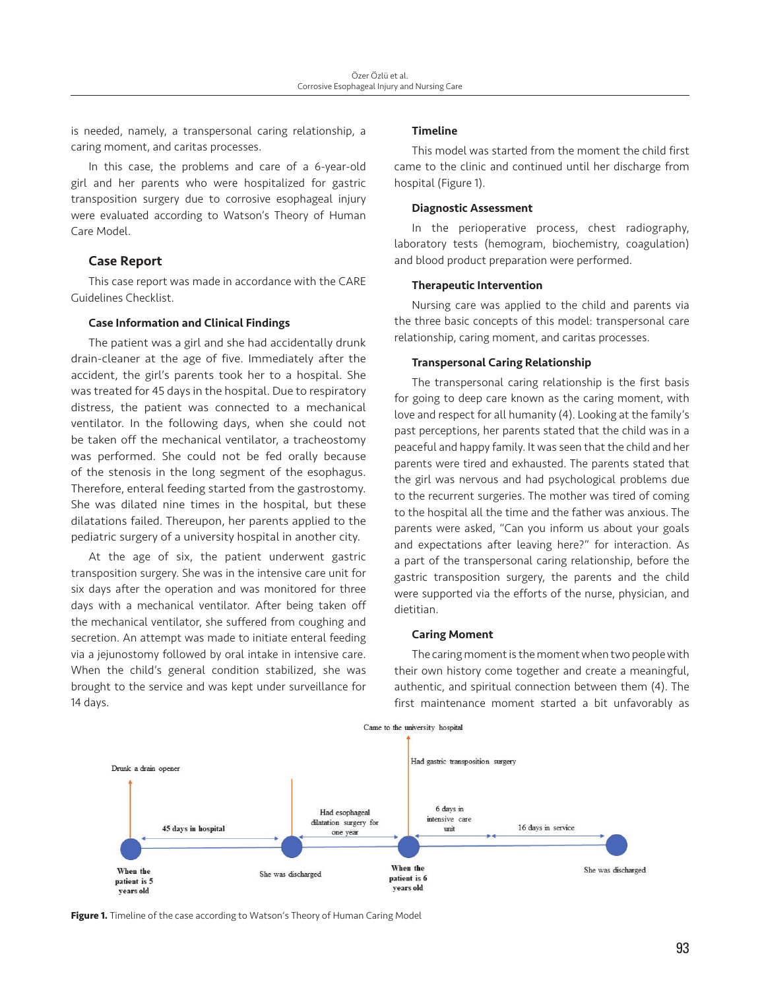is needed, namely, a transpersonal caring relationship, a caring moment, and caritas processes.

In this case, the problems and care of a 6-year-old girl and her parents who were hospitalized for gastric transposition surgery due to corrosive esophageal injury were evaluated according to Watson's Theory of Human Care Model.

## Case Report

This case report was made in accordance with the CARE Guidelines Checklist.

#### Case Information and Clinical Findings

The patient was a girl and she had accidentally drunk drain-cleaner at the age of five. Immediately after the accident, the girl's parents took her to a hospital. She was treated for 45 days in the hospital. Due to respiratory distress, the patient was connected to a mechanical ventilator. In the following days, when she could not be taken off the mechanical ventilator, a tracheostomy was performed. She could not be fed orally because of the stenosis in the long segment of the esophagus. Therefore, enteral feeding started from the gastrostomy. She was dilated nine times in the hospital, but these dilatations failed. Thereupon, her parents applied to the pediatric surgery of a university hospital in another city.

At the age of six, the patient underwent gastric transposition surgery. She was in the intensive care unit for six days after the operation and was monitored for three days with a mechanical ventilator. After being taken off the mechanical ventilator, she suffered from coughing and secretion. An attempt was made to initiate enteral feeding via a jejunostomy followed by oral intake in intensive care. When the child's general condition stabilized, she was brought to the service and was kept under surveillance for 14 days.

#### Timeline

This model was started from the moment the child first came to the clinic and continued until her discharge from hospital (Figure 1).

#### Diagnostic Assessment

In the perioperative process, chest radiography, laboratory tests (hemogram, biochemistry, coagulation) and blood product preparation were performed.

#### Therapeutic Intervention

Nursing care was applied to the child and parents via the three basic concepts of this model: transpersonal care relationship, caring moment, and caritas processes.

#### Transpersonal Caring Relationship

The transpersonal caring relationship is the first basis for going to deep care known as the caring moment, with love and respect for all humanity (4). Looking at the family's past perceptions, her parents stated that the child was in a peaceful and happy family. It was seen that the child and her parents were tired and exhausted. The parents stated that the girl was nervous and had psychological problems due to the recurrent surgeries. The mother was tired of coming to the hospital all the time and the father was anxious. The parents were asked, "Can you inform us about your goals and expectations after leaving here?" for interaction. As a part of the transpersonal caring relationship, before the gastric transposition surgery, the parents and the child were supported via the efforts of the nurse, physician, and dietitian.

#### Caring Moment

The caring moment is the moment when two people with their own history come together and create a meaningful, authentic, and spiritual connection between them (4). The first maintenance moment started a bit unfavorably as



Figure 1. Timeline of the case according to Watson's Theory of Human Caring Model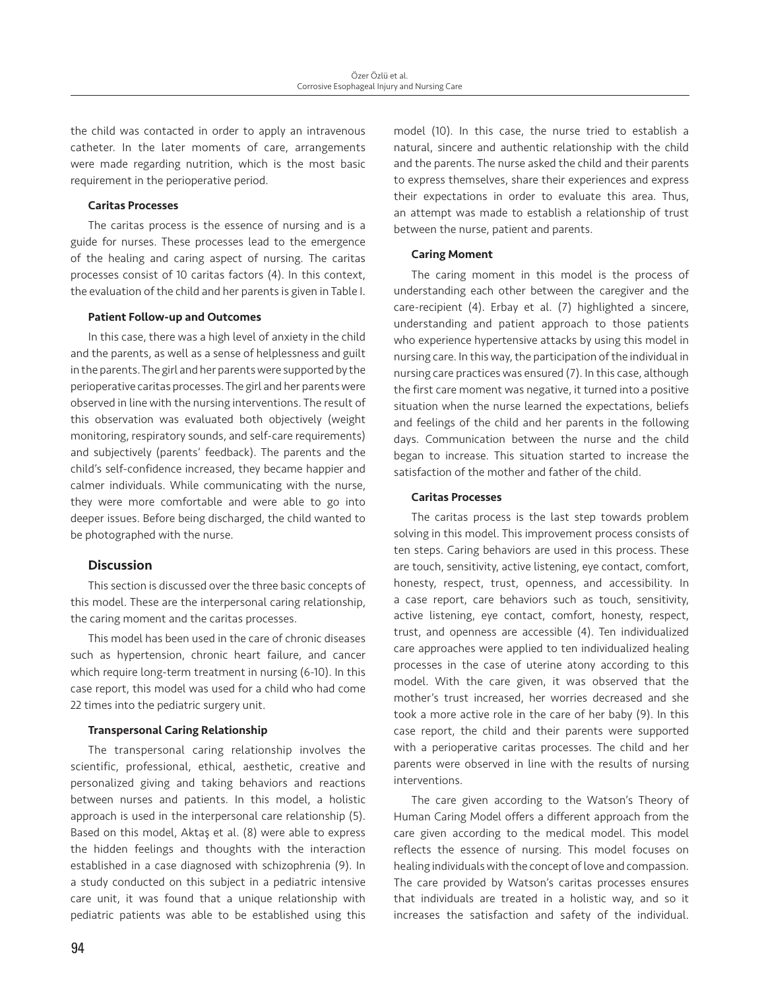the child was contacted in order to apply an intravenous catheter. In the later moments of care, arrangements were made regarding nutrition, which is the most basic requirement in the perioperative period.

#### Caritas Processes

The caritas process is the essence of nursing and is a guide for nurses. These processes lead to the emergence of the healing and caring aspect of nursing. The caritas processes consist of 10 caritas factors (4). In this context, the evaluation of the child and her parents is given in Table I.

#### Patient Follow-up and Outcomes

In this case, there was a high level of anxiety in the child and the parents, as well as a sense of helplessness and guilt in the parents. The girl and her parents were supported by the perioperative caritas processes. The girl and her parents were observed in line with the nursing interventions. The result of this observation was evaluated both objectively (weight monitoring, respiratory sounds, and self-care requirements) and subjectively (parents' feedback). The parents and the child's self-confidence increased, they became happier and calmer individuals. While communicating with the nurse, they were more comfortable and were able to go into deeper issues. Before being discharged, the child wanted to be photographed with the nurse.

### Discussion

This section is discussed over the three basic concepts of this model. These are the interpersonal caring relationship, the caring moment and the caritas processes.

This model has been used in the care of chronic diseases such as hypertension, chronic heart failure, and cancer which require long-term treatment in nursing (6-10). In this case report, this model was used for a child who had come 22 times into the pediatric surgery unit.

#### Transpersonal Caring Relationship

The transpersonal caring relationship involves the scientific, professional, ethical, aesthetic, creative and personalized giving and taking behaviors and reactions between nurses and patients. In this model, a holistic approach is used in the interpersonal care relationship (5). Based on this model, Aktaş et al. (8) were able to express the hidden feelings and thoughts with the interaction established in a case diagnosed with schizophrenia (9). In a study conducted on this subject in a pediatric intensive care unit, it was found that a unique relationship with pediatric patients was able to be established using this model (10). In this case, the nurse tried to establish a natural, sincere and authentic relationship with the child and the parents. The nurse asked the child and their parents to express themselves, share their experiences and express their expectations in order to evaluate this area. Thus, an attempt was made to establish a relationship of trust between the nurse, patient and parents.

#### Caring Moment

The caring moment in this model is the process of understanding each other between the caregiver and the care-recipient (4). Erbay et al. (7) highlighted a sincere, understanding and patient approach to those patients who experience hypertensive attacks by using this model in nursing care. In this way, the participation of the individual in nursing care practices was ensured (7). In this case, although the first care moment was negative, it turned into a positive situation when the nurse learned the expectations, beliefs and feelings of the child and her parents in the following days. Communication between the nurse and the child began to increase. This situation started to increase the satisfaction of the mother and father of the child.

#### Caritas Processes

The caritas process is the last step towards problem solving in this model. This improvement process consists of ten steps. Caring behaviors are used in this process. These are touch, sensitivity, active listening, eye contact, comfort, honesty, respect, trust, openness, and accessibility. In a case report, care behaviors such as touch, sensitivity, active listening, eye contact, comfort, honesty, respect, trust, and openness are accessible (4). Ten individualized care approaches were applied to ten individualized healing processes in the case of uterine atony according to this model. With the care given, it was observed that the mother's trust increased, her worries decreased and she took a more active role in the care of her baby (9). In this case report, the child and their parents were supported with a perioperative caritas processes. The child and her parents were observed in line with the results of nursing interventions.

The care given according to the Watson's Theory of Human Caring Model offers a different approach from the care given according to the medical model. This model reflects the essence of nursing. This model focuses on healing individuals with the concept of love and compassion. The care provided by Watson's caritas processes ensures that individuals are treated in a holistic way, and so it increases the satisfaction and safety of the individual.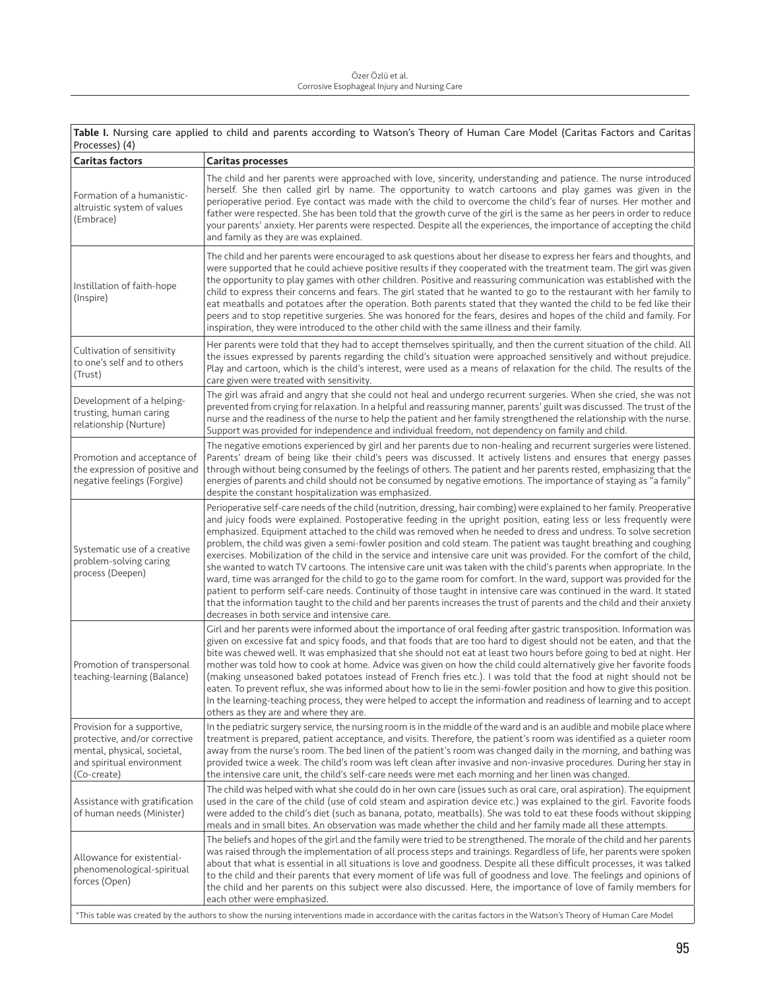| Table I. Nursing care applied to child and parents according to Watson's Theory of Human Care Model (Caritas Factors and Caritas<br>Processes) (4)              |                                                                                                                                                                                                                                                                                                                                                                                                                                                                                                                                                                                                                                                                                                                                                                                                                                                                                                                                                                                                                                                                                                                                                                        |
|-----------------------------------------------------------------------------------------------------------------------------------------------------------------|------------------------------------------------------------------------------------------------------------------------------------------------------------------------------------------------------------------------------------------------------------------------------------------------------------------------------------------------------------------------------------------------------------------------------------------------------------------------------------------------------------------------------------------------------------------------------------------------------------------------------------------------------------------------------------------------------------------------------------------------------------------------------------------------------------------------------------------------------------------------------------------------------------------------------------------------------------------------------------------------------------------------------------------------------------------------------------------------------------------------------------------------------------------------|
| <b>Caritas factors</b>                                                                                                                                          | <b>Caritas processes</b>                                                                                                                                                                                                                                                                                                                                                                                                                                                                                                                                                                                                                                                                                                                                                                                                                                                                                                                                                                                                                                                                                                                                               |
| Formation of a humanistic-<br>altruistic system of values<br>(Embrace)                                                                                          | The child and her parents were approached with love, sincerity, understanding and patience. The nurse introduced<br>herself. She then called girl by name. The opportunity to watch cartoons and play games was given in the<br>perioperative period. Eye contact was made with the child to overcome the child's fear of nurses. Her mother and<br>father were respected. She has been told that the growth curve of the girl is the same as her peers in order to reduce<br>your parents' anxiety. Her parents were respected. Despite all the experiences, the importance of accepting the child<br>and family as they are was explained.                                                                                                                                                                                                                                                                                                                                                                                                                                                                                                                           |
| Instillation of faith-hope<br>(Inspire)                                                                                                                         | The child and her parents were encouraged to ask questions about her disease to express her fears and thoughts, and<br>were supported that he could achieve positive results if they cooperated with the treatment team. The girl was given<br>the opportunity to play games with other children. Positive and reassuring communication was established with the<br>child to express their concerns and fears. The girl stated that he wanted to go to the restaurant with her family to<br>eat meatballs and potatoes after the operation. Both parents stated that they wanted the child to be fed like their<br>peers and to stop repetitive surgeries. She was honored for the fears, desires and hopes of the child and family. For<br>inspiration, they were introduced to the other child with the same illness and their family.                                                                                                                                                                                                                                                                                                                               |
| Cultivation of sensitivity<br>to one's self and to others<br>(Trust)                                                                                            | Her parents were told that they had to accept themselves spiritually, and then the current situation of the child. All<br>the issues expressed by parents regarding the child's situation were approached sensitively and without prejudice.<br>Play and cartoon, which is the child's interest, were used as a means of relaxation for the child. The results of the<br>care given were treated with sensitivity.                                                                                                                                                                                                                                                                                                                                                                                                                                                                                                                                                                                                                                                                                                                                                     |
| Development of a helping-<br>trusting, human caring<br>relationship (Nurture)                                                                                   | The girl was afraid and angry that she could not heal and undergo recurrent surgeries. When she cried, she was not<br>prevented from crying for relaxation. In a helpful and reassuring manner, parents' guilt was discussed. The trust of the<br>nurse and the readiness of the nurse to help the patient and her family strengthened the relationship with the nurse.<br>Support was provided for independence and individual freedom, not dependency on family and child.                                                                                                                                                                                                                                                                                                                                                                                                                                                                                                                                                                                                                                                                                           |
| Promotion and acceptance of<br>the expression of positive and<br>negative feelings (Forgive)                                                                    | The negative emotions experienced by girl and her parents due to non-healing and recurrent surgeries were listened.<br>Parents' dream of being like their child's peers was discussed. It actively listens and ensures that energy passes<br>through without being consumed by the feelings of others. The patient and her parents rested, emphasizing that the<br>energies of parents and child should not be consumed by negative emotions. The importance of staying as "a family"<br>despite the constant hospitalization was emphasized.                                                                                                                                                                                                                                                                                                                                                                                                                                                                                                                                                                                                                          |
| Systematic use of a creative<br>problem-solving caring<br>process (Deepen)                                                                                      | Perioperative self-care needs of the child (nutrition, dressing, hair combing) were explained to her family. Preoperative<br>and juicy foods were explained. Postoperative feeding in the upright position, eating less or less frequently were<br>emphasized. Equipment attached to the child was removed when he needed to dress and undress. To solve secretion<br>problem, the child was given a semi-fowler position and cold steam. The patient was taught breathing and coughing<br>exercises. Mobilization of the child in the service and intensive care unit was provided. For the comfort of the child,<br>she wanted to watch TV cartoons. The intensive care unit was taken with the child's parents when appropriate. In the<br>ward, time was arranged for the child to go to the game room for comfort. In the ward, support was provided for the<br>patient to perform self-care needs. Continuity of those taught in intensive care was continued in the ward. It stated<br>that the information taught to the child and her parents increases the trust of parents and the child and their anxiety<br>decreases in both service and intensive care. |
| Promotion of transpersonal<br>teaching-learning (Balance)                                                                                                       | Girl and her parents were informed about the importance of oral feeding after gastric transposition. Information was<br>given on excessive fat and spicy foods, and that foods that are too hard to digest should not be eaten, and that the<br>bite was chewed well. It was emphasized that she should not eat at least two hours before going to bed at night. Her<br>mother was told how to cook at home. Advice was given on how the child could alternatively give her favorite foods<br>(making unseasoned baked potatoes instead of French fries etc.). I was told that the food at night should not be<br>eaten. To prevent reflux, she was informed about how to lie in the semi-fowler position and how to give this position.<br>In the learning-teaching process, they were helped to accept the information and readiness of learning and to accept<br>others as they are and where they are.                                                                                                                                                                                                                                                             |
| Provision for a supportive,<br>protective, and/or corrective<br>mental, physical, societal,<br>and spiritual environment<br>(Co-create)                         | In the pediatric surgery service, the nursing room is in the middle of the ward and is an audible and mobile place where<br>treatment is prepared, patient acceptance, and visits. Therefore, the patient's room was identified as a quieter room<br>away from the nurse's room. The bed linen of the patient's room was changed daily in the morning, and bathing was<br>provided twice a week. The child's room was left clean after invasive and non-invasive procedures. During her stay in<br>the intensive care unit, the child's self-care needs were met each morning and her linen was changed.                                                                                                                                                                                                                                                                                                                                                                                                                                                                                                                                                               |
| Assistance with gratification<br>of human needs (Minister)                                                                                                      | The child was helped with what she could do in her own care (issues such as oral care, oral aspiration). The equipment<br>used in the care of the child (use of cold steam and aspiration device etc.) was explained to the girl. Favorite foods<br>were added to the child's diet (such as banana, potato, meatballs). She was told to eat these foods without skipping<br>meals and in small bites. An observation was made whether the child and her family made all these attempts.                                                                                                                                                                                                                                                                                                                                                                                                                                                                                                                                                                                                                                                                                |
| Allowance for existential-<br>phenomenological-spiritual<br>forces (Open)                                                                                       | The beliefs and hopes of the girl and the family were tried to be strengthened. The morale of the child and her parents<br>was raised through the implementation of all process steps and trainings. Regardless of life, her parents were spoken<br>about that what is essential in all situations is love and goodness. Despite all these difficult processes, it was talked<br>to the child and their parents that every moment of life was full of goodness and love. The feelings and opinions of<br>the child and her parents on this subject were also discussed. Here, the importance of love of family members for<br>each other were emphasized.                                                                                                                                                                                                                                                                                                                                                                                                                                                                                                              |
| *This table was created by the authors to show the nursing interventions made in accordance with the caritas factors in the Watson's Theory of Human Care Model |                                                                                                                                                                                                                                                                                                                                                                                                                                                                                                                                                                                                                                                                                                                                                                                                                                                                                                                                                                                                                                                                                                                                                                        |